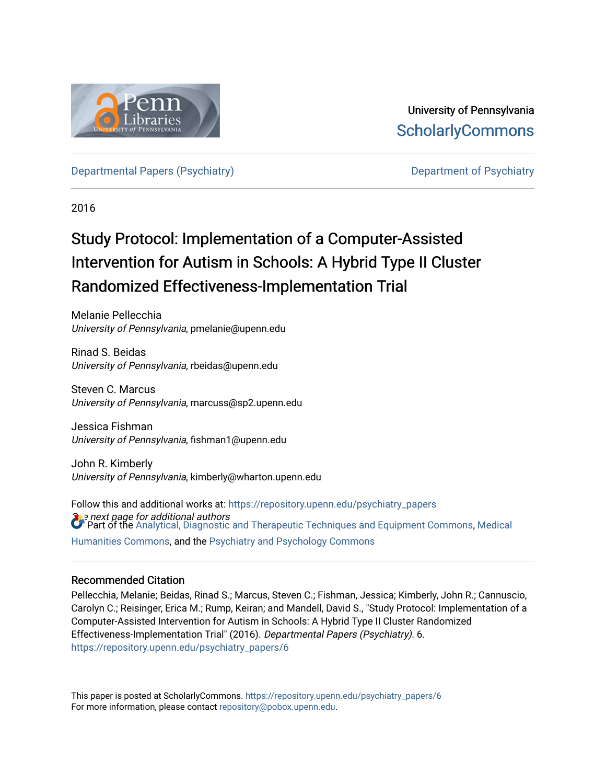

University of Pennsylvania **ScholarlyCommons** 

[Departmental Papers \(Psychiatry\)](https://repository.upenn.edu/psychiatry_papers) [Department of Psychiatry](https://repository.upenn.edu/psychiatry) Department of Psychiatry

2016

# Study Protocol: Implementation of a Computer-Assisted Intervention for Autism in Schools: A Hybrid Type II Cluster Randomized Effectiveness-Implementation Trial

Melanie Pellecchia University of Pennsylvania, pmelanie@upenn.edu

Rinad S. Beidas University of Pennsylvania, rbeidas@upenn.edu

Steven C. Marcus University of Pennsylvania, marcuss@sp2.upenn.edu

Jessica Fishman University of Pennsylvania, fishman1@upenn.edu

John R. Kimberly University of Pennsylvania, kimberly@wharton.upenn.edu

 $\Omega$  a next page for additional authors<br>C Part of the [Analytical, Diagnostic and Therapeutic Techniques and Equipment Commons](http://network.bepress.com/hgg/discipline/899?utm_source=repository.upenn.edu%2Fpsychiatry_papers%2F6&utm_medium=PDF&utm_campaign=PDFCoverPages), Medical Follow this and additional works at: [https://repository.upenn.edu/psychiatry\\_papers](https://repository.upenn.edu/psychiatry_papers?utm_source=repository.upenn.edu%2Fpsychiatry_papers%2F6&utm_medium=PDF&utm_campaign=PDFCoverPages) [Humanities Commons,](http://network.bepress.com/hgg/discipline/1303?utm_source=repository.upenn.edu%2Fpsychiatry_papers%2F6&utm_medium=PDF&utm_campaign=PDFCoverPages) and the [Psychiatry and Psychology Commons](http://network.bepress.com/hgg/discipline/908?utm_source=repository.upenn.edu%2Fpsychiatry_papers%2F6&utm_medium=PDF&utm_campaign=PDFCoverPages) 

## Recommended Citation

Pellecchia, Melanie; Beidas, Rinad S.; Marcus, Steven C.; Fishman, Jessica; Kimberly, John R.; Cannuscio, Carolyn C.; Reisinger, Erica M.; Rump, Keiran; and Mandell, David S., "Study Protocol: Implementation of a Computer-Assisted Intervention for Autism in Schools: A Hybrid Type II Cluster Randomized Effectiveness-Implementation Trial" (2016). Departmental Papers (Psychiatry). 6. [https://repository.upenn.edu/psychiatry\\_papers/6](https://repository.upenn.edu/psychiatry_papers/6?utm_source=repository.upenn.edu%2Fpsychiatry_papers%2F6&utm_medium=PDF&utm_campaign=PDFCoverPages) 

This paper is posted at ScholarlyCommons. [https://repository.upenn.edu/psychiatry\\_papers/6](https://repository.upenn.edu/psychiatry_papers/6) For more information, please contact [repository@pobox.upenn.edu.](mailto:repository@pobox.upenn.edu)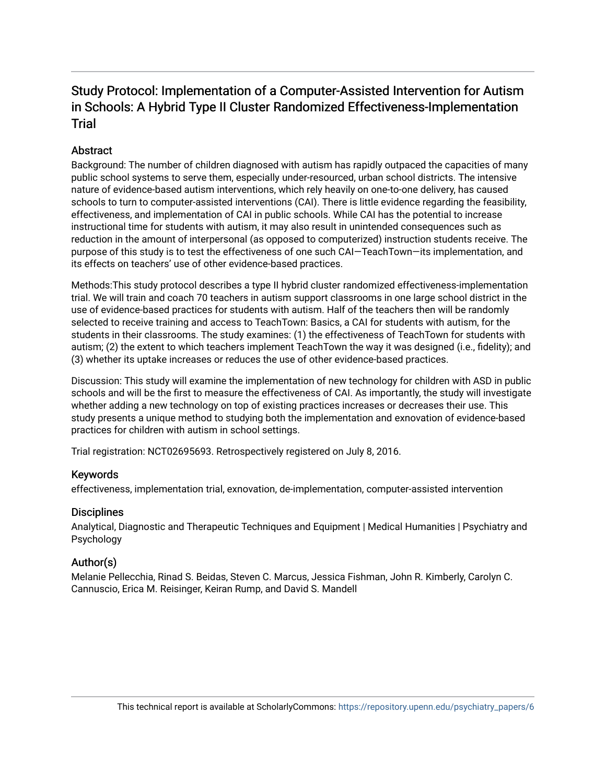## Study Protocol: Implementation of a Computer-Assisted Intervention for Autism in Schools: A Hybrid Type II Cluster Randomized Effectiveness-Implementation Trial

## **Abstract**

Background: The number of children diagnosed with autism has rapidly outpaced the capacities of many public school systems to serve them, especially under-resourced, urban school districts. The intensive nature of evidence-based autism interventions, which rely heavily on one-to-one delivery, has caused schools to turn to computer-assisted interventions (CAI). There is little evidence regarding the feasibility, effectiveness, and implementation of CAI in public schools. While CAI has the potential to increase instructional time for students with autism, it may also result in unintended consequences such as reduction in the amount of interpersonal (as opposed to computerized) instruction students receive. The purpose of this study is to test the effectiveness of one such CAI—TeachTown—its implementation, and its effects on teachers' use of other evidence-based practices.

Methods:This study protocol describes a type II hybrid cluster randomized effectiveness-implementation trial. We will train and coach 70 teachers in autism support classrooms in one large school district in the use of evidence-based practices for students with autism. Half of the teachers then will be randomly selected to receive training and access to TeachTown: Basics, a CAI for students with autism, for the students in their classrooms. The study examines: (1) the effectiveness of TeachTown for students with autism; (2) the extent to which teachers implement TeachTown the way it was designed (i.e., fidelity); and (3) whether its uptake increases or reduces the use of other evidence-based practices.

Discussion: This study will examine the implementation of new technology for children with ASD in public schools and will be the first to measure the effectiveness of CAI. As importantly, the study will investigate whether adding a new technology on top of existing practices increases or decreases their use. This study presents a unique method to studying both the implementation and exnovation of evidence-based practices for children with autism in school settings.

Trial registration: NCT02695693. Retrospectively registered on July 8, 2016.

## Keywords

effectiveness, implementation trial, exnovation, de-implementation, computer-assisted intervention

## **Disciplines**

Analytical, Diagnostic and Therapeutic Techniques and Equipment | Medical Humanities | Psychiatry and Psychology

## Author(s)

Melanie Pellecchia, Rinad S. Beidas, Steven C. Marcus, Jessica Fishman, John R. Kimberly, Carolyn C. Cannuscio, Erica M. Reisinger, Keiran Rump, and David S. Mandell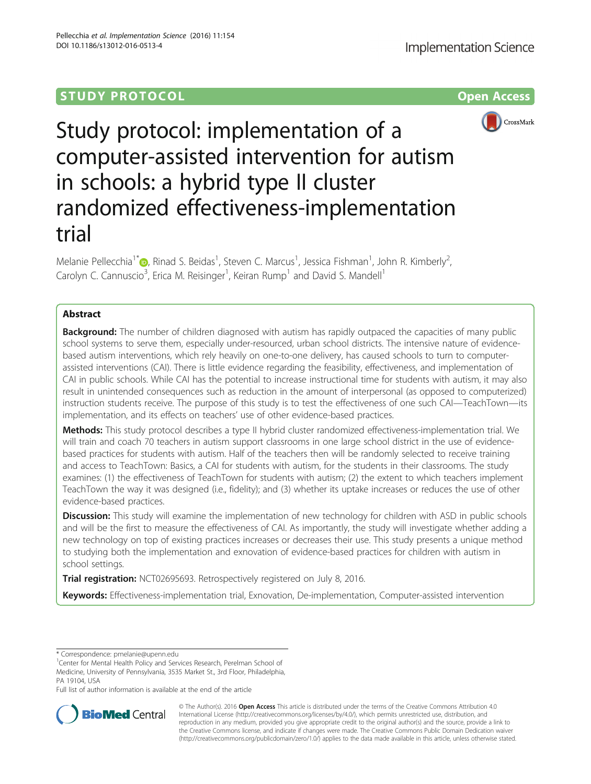## **STUDY PROTOCOL CONSUMING THE RESERVE ACCESS**



# Study protocol: implementation of a computer-assisted intervention for autism in schools: a hybrid type II cluster randomized effectiveness-implementation trial

Melanie Pellecchia<sup>1[\\*](http://orcid.org/0000-0003-1924-0269)</sup> $\bullet$ , Rinad S. Beidas<sup>1</sup>, Steven C. Marcus<sup>1</sup>, Jessica Fishman<sup>1</sup>, John R. Kimberly<sup>2</sup> , Carolyn C. Cannuscio<sup>3</sup>, Erica M. Reisinger<sup>1</sup>, Keiran Rump<sup>1</sup> and David S. Mandell<sup>1</sup>

## Abstract

**Background:** The number of children diagnosed with autism has rapidly outpaced the capacities of many public school systems to serve them, especially under-resourced, urban school districts. The intensive nature of evidencebased autism interventions, which rely heavily on one-to-one delivery, has caused schools to turn to computerassisted interventions (CAI). There is little evidence regarding the feasibility, effectiveness, and implementation of CAI in public schools. While CAI has the potential to increase instructional time for students with autism, it may also result in unintended consequences such as reduction in the amount of interpersonal (as opposed to computerized) instruction students receive. The purpose of this study is to test the effectiveness of one such CAI—TeachTown—its implementation, and its effects on teachers' use of other evidence-based practices.

Methods: This study protocol describes a type II hybrid cluster randomized effectiveness-implementation trial. We will train and coach 70 teachers in autism support classrooms in one large school district in the use of evidencebased practices for students with autism. Half of the teachers then will be randomly selected to receive training and access to TeachTown: Basics, a CAI for students with autism, for the students in their classrooms. The study examines: (1) the effectiveness of TeachTown for students with autism; (2) the extent to which teachers implement TeachTown the way it was designed (i.e., fidelity); and (3) whether its uptake increases or reduces the use of other evidence-based practices.

**Discussion:** This study will examine the implementation of new technology for children with ASD in public schools and will be the first to measure the effectiveness of CAI. As importantly, the study will investigate whether adding a new technology on top of existing practices increases or decreases their use. This study presents a unique method to studying both the implementation and exnovation of evidence-based practices for children with autism in school settings.

Trial registration: [NCT02695693](https://clinicaltrials.gov/ct2/show/NCT02695693). Retrospectively registered on July 8, 2016.

Keywords: Effectiveness-implementation trial, Exnovation, De-implementation, Computer-assisted intervention

<sup>1</sup>Center for Mental Health Policy and Services Research, Perelman School of Medicine, University of Pennsylvania, 3535 Market St., 3rd Floor, Philadelphia, PA 19104, USA

Full list of author information is available at the end of the article



© The Author(s). 2016 Open Access This article is distributed under the terms of the Creative Commons Attribution 4.0 International License [\(http://creativecommons.org/licenses/by/4.0/](http://creativecommons.org/licenses/by/4.0/)), which permits unrestricted use, distribution, and reproduction in any medium, provided you give appropriate credit to the original author(s) and the source, provide a link to the Creative Commons license, and indicate if changes were made. The Creative Commons Public Domain Dedication waiver [\(http://creativecommons.org/publicdomain/zero/1.0/](http://creativecommons.org/publicdomain/zero/1.0/)) applies to the data made available in this article, unless otherwise stated.

<sup>\*</sup> Correspondence: [pmelanie@upenn.edu](mailto:pmelanie@upenn.edu) <sup>1</sup>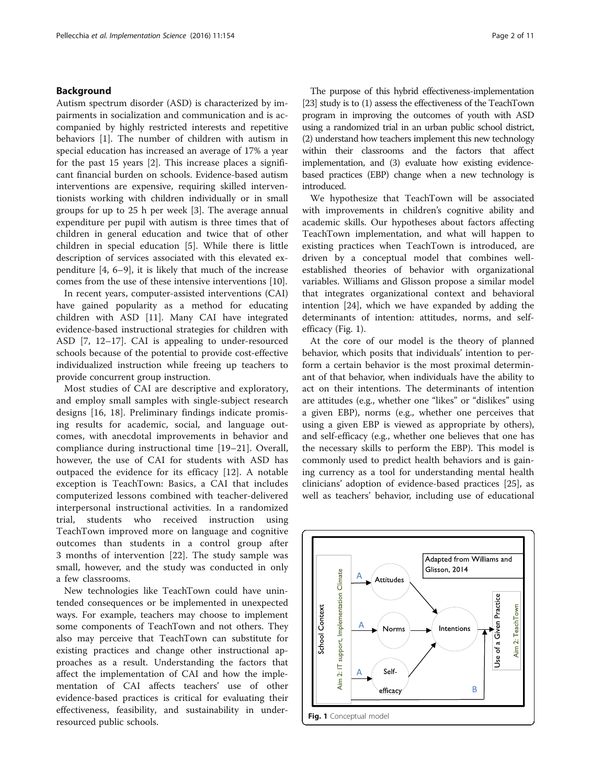#### <span id="page-3-0"></span>Background

Autism spectrum disorder (ASD) is characterized by impairments in socialization and communication and is accompanied by highly restricted interests and repetitive behaviors [\[1](#page-10-0)]. The number of children with autism in special education has increased an average of 17% a year for the past 15 years [[2\]](#page-10-0). This increase places a significant financial burden on schools. Evidence-based autism interventions are expensive, requiring skilled interventionists working with children individually or in small groups for up to 25 h per week [[3\]](#page-10-0). The average annual expenditure per pupil with autism is three times that of children in general education and twice that of other children in special education [\[5](#page-10-0)]. While there is little description of services associated with this elevated expenditure [[4, 6](#page-10-0)–[9](#page-11-0)], it is likely that much of the increase comes from the use of these intensive interventions [[10](#page-11-0)].

In recent years, computer-assisted interventions (CAI) have gained popularity as a method for educating children with ASD [[11\]](#page-11-0). Many CAI have integrated evidence-based instructional strategies for children with ASD [\[7](#page-10-0), [12](#page-11-0)–[17\]](#page-11-0). CAI is appealing to under-resourced schools because of the potential to provide cost-effective individualized instruction while freeing up teachers to provide concurrent group instruction.

Most studies of CAI are descriptive and exploratory, and employ small samples with single-subject research designs [[16, 18](#page-11-0)]. Preliminary findings indicate promising results for academic, social, and language outcomes, with anecdotal improvements in behavior and compliance during instructional time [\[19](#page-11-0)–[21](#page-11-0)]. Overall, however, the use of CAI for students with ASD has outpaced the evidence for its efficacy [[12](#page-11-0)]. A notable exception is TeachTown: Basics, a CAI that includes computerized lessons combined with teacher-delivered interpersonal instructional activities. In a randomized trial, students who received instruction using TeachTown improved more on language and cognitive outcomes than students in a control group after 3 months of intervention [[22\]](#page-11-0). The study sample was small, however, and the study was conducted in only a few classrooms.

New technologies like TeachTown could have unintended consequences or be implemented in unexpected ways. For example, teachers may choose to implement some components of TeachTown and not others. They also may perceive that TeachTown can substitute for existing practices and change other instructional approaches as a result. Understanding the factors that affect the implementation of CAI and how the implementation of CAI affects teachers' use of other evidence-based practices is critical for evaluating their effectiveness, feasibility, and sustainability in underresourced public schools.

The purpose of this hybrid effectiveness-implementation [[23\]](#page-11-0) study is to (1) assess the effectiveness of the TeachTown program in improving the outcomes of youth with ASD using a randomized trial in an urban public school district, (2) understand how teachers implement this new technology within their classrooms and the factors that affect implementation, and (3) evaluate how existing evidencebased practices (EBP) change when a new technology is introduced.

We hypothesize that TeachTown will be associated with improvements in children's cognitive ability and academic skills. Our hypotheses about factors affecting TeachTown implementation, and what will happen to existing practices when TeachTown is introduced, are driven by a conceptual model that combines wellestablished theories of behavior with organizational variables. Williams and Glisson propose a similar model that integrates organizational context and behavioral intention [[24](#page-11-0)], which we have expanded by adding the determinants of intention: attitudes, norms, and selfefficacy (Fig. 1).

At the core of our model is the theory of planned behavior, which posits that individuals' intention to perform a certain behavior is the most proximal determinant of that behavior, when individuals have the ability to act on their intentions. The determinants of intention are attitudes (e.g., whether one "likes" or "dislikes" using a given EBP), norms (e.g., whether one perceives that using a given EBP is viewed as appropriate by others), and self-efficacy (e.g., whether one believes that one has the necessary skills to perform the EBP). This model is commonly used to predict health behaviors and is gaining currency as a tool for understanding mental health clinicians' adoption of evidence-based practices [[25\]](#page-11-0), as well as teachers' behavior, including use of educational

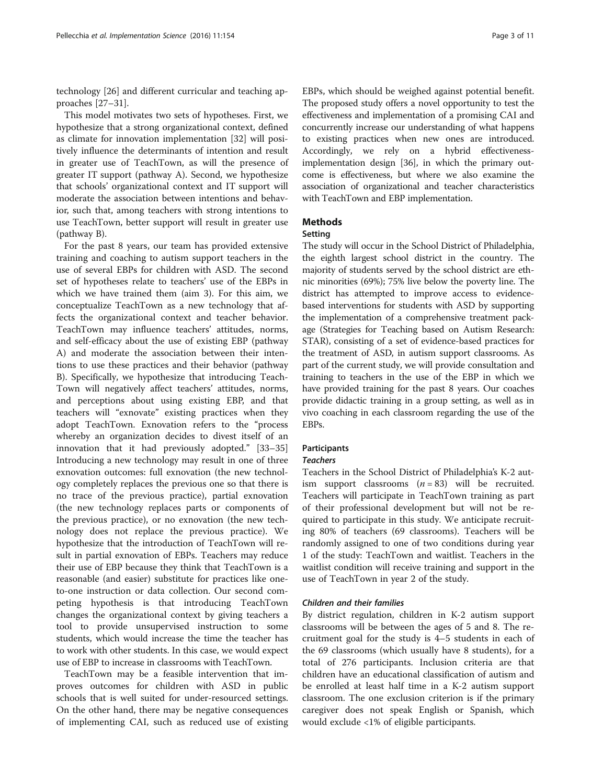technology [[26](#page-11-0)] and different curricular and teaching approaches [\[27](#page-11-0)–[31\]](#page-11-0).

This model motivates two sets of hypotheses. First, we hypothesize that a strong organizational context, defined as climate for innovation implementation [[32](#page-11-0)] will positively influence the determinants of intention and result in greater use of TeachTown, as will the presence of greater IT support (pathway A). Second, we hypothesize that schools' organizational context and IT support will moderate the association between intentions and behavior, such that, among teachers with strong intentions to use TeachTown, better support will result in greater use (pathway B).

For the past 8 years, our team has provided extensive training and coaching to autism support teachers in the use of several EBPs for children with ASD. The second set of hypotheses relate to teachers' use of the EBPs in which we have trained them (aim 3). For this aim, we conceptualize TeachTown as a new technology that affects the organizational context and teacher behavior. TeachTown may influence teachers' attitudes, norms, and self-efficacy about the use of existing EBP (pathway A) and moderate the association between their intentions to use these practices and their behavior (pathway B). Specifically, we hypothesize that introducing Teach-Town will negatively affect teachers' attitudes, norms, and perceptions about using existing EBP, and that teachers will "exnovate" existing practices when they adopt TeachTown. Exnovation refers to the "process whereby an organization decides to divest itself of an innovation that it had previously adopted." [[33](#page-11-0)–[35](#page-11-0)] Introducing a new technology may result in one of three exnovation outcomes: full exnovation (the new technology completely replaces the previous one so that there is no trace of the previous practice), partial exnovation (the new technology replaces parts or components of the previous practice), or no exnovation (the new technology does not replace the previous practice). We hypothesize that the introduction of TeachTown will result in partial exnovation of EBPs. Teachers may reduce their use of EBP because they think that TeachTown is a reasonable (and easier) substitute for practices like oneto-one instruction or data collection. Our second competing hypothesis is that introducing TeachTown changes the organizational context by giving teachers a tool to provide unsupervised instruction to some students, which would increase the time the teacher has to work with other students. In this case, we would expect use of EBP to increase in classrooms with TeachTown.

TeachTown may be a feasible intervention that improves outcomes for children with ASD in public schools that is well suited for under-resourced settings. On the other hand, there may be negative consequences of implementing CAI, such as reduced use of existing EBPs, which should be weighed against potential benefit. The proposed study offers a novel opportunity to test the effectiveness and implementation of a promising CAI and concurrently increase our understanding of what happens to existing practices when new ones are introduced. Accordingly, we rely on a hybrid effectivenessimplementation design [[36](#page-11-0)], in which the primary outcome is effectiveness, but where we also examine the association of organizational and teacher characteristics with TeachTown and EBP implementation.

#### Methods

#### Setting

The study will occur in the School District of Philadelphia, the eighth largest school district in the country. The majority of students served by the school district are ethnic minorities (69%); 75% live below the poverty line. The district has attempted to improve access to evidencebased interventions for students with ASD by supporting the implementation of a comprehensive treatment package (Strategies for Teaching based on Autism Research: STAR), consisting of a set of evidence-based practices for the treatment of ASD, in autism support classrooms. As part of the current study, we will provide consultation and training to teachers in the use of the EBP in which we have provided training for the past 8 years. Our coaches provide didactic training in a group setting, as well as in vivo coaching in each classroom regarding the use of the EBPs.

#### Participants

#### **Teachers**

Teachers in the School District of Philadelphia's K-2 autism support classrooms  $(n = 83)$  will be recruited. Teachers will participate in TeachTown training as part of their professional development but will not be required to participate in this study. We anticipate recruiting 80% of teachers (69 classrooms). Teachers will be randomly assigned to one of two conditions during year 1 of the study: TeachTown and waitlist. Teachers in the waitlist condition will receive training and support in the use of TeachTown in year 2 of the study.

#### Children and their families

By district regulation, children in K-2 autism support classrooms will be between the ages of 5 and 8. The recruitment goal for the study is 4–5 students in each of the 69 classrooms (which usually have 8 students), for a total of 276 participants. Inclusion criteria are that children have an educational classification of autism and be enrolled at least half time in a K-2 autism support classroom. The one exclusion criterion is if the primary caregiver does not speak English or Spanish, which would exclude <1% of eligible participants.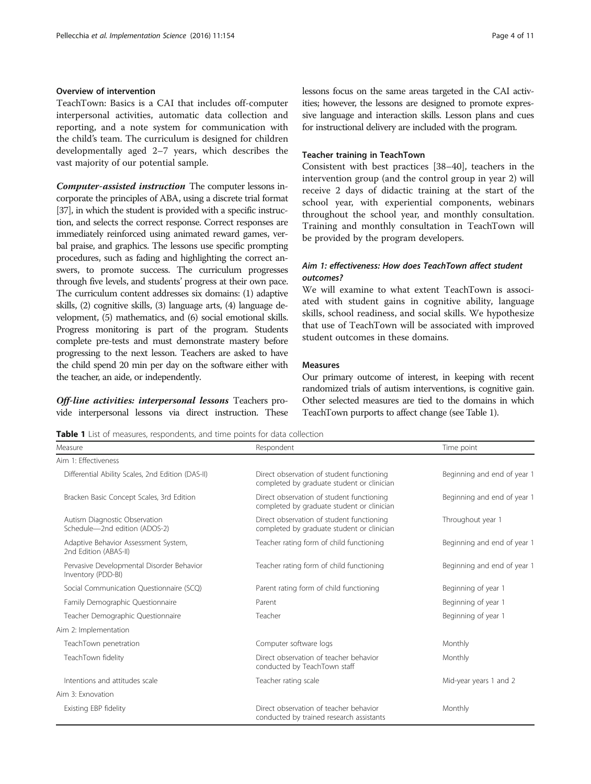#### <span id="page-5-0"></span>Overview of intervention

TeachTown: Basics is a CAI that includes off-computer interpersonal activities, automatic data collection and reporting, and a note system for communication with the child's team. The curriculum is designed for children developmentally aged 2–7 years, which describes the vast majority of our potential sample.

Computer-assisted instruction The computer lessons incorporate the principles of ABA, using a discrete trial format [[37\]](#page-11-0), in which the student is provided with a specific instruction, and selects the correct response. Correct responses are immediately reinforced using animated reward games, verbal praise, and graphics. The lessons use specific prompting procedures, such as fading and highlighting the correct answers, to promote success. The curriculum progresses through five levels, and students' progress at their own pace. The curriculum content addresses six domains: (1) adaptive skills, (2) cognitive skills, (3) language arts, (4) language development, (5) mathematics, and (6) social emotional skills. Progress monitoring is part of the program. Students complete pre-tests and must demonstrate mastery before progressing to the next lesson. Teachers are asked to have the child spend 20 min per day on the software either with the teacher, an aide, or independently.

Off-line activities: interpersonal lessons Teachers provide interpersonal lessons via direct instruction. These lessons focus on the same areas targeted in the CAI activities; however, the lessons are designed to promote expressive language and interaction skills. Lesson plans and cues for instructional delivery are included with the program.

#### Teacher training in TeachTown

Consistent with best practices [[38](#page-11-0)–[40](#page-11-0)], teachers in the intervention group (and the control group in year 2) will receive 2 days of didactic training at the start of the school year, with experiential components, webinars throughout the school year, and monthly consultation. Training and monthly consultation in TeachTown will be provided by the program developers.

## Aim 1: effectiveness: How does TeachTown affect student outcomes?

We will examine to what extent TeachTown is associated with student gains in cognitive ability, language skills, school readiness, and social skills. We hypothesize that use of TeachTown will be associated with improved student outcomes in these domains.

#### Measures

Our primary outcome of interest, in keeping with recent randomized trials of autism interventions, is cognitive gain. Other selected measures are tied to the domains in which TeachTown purports to affect change (see Table 1).

Table 1 List of measures, respondents, and time points for data collection

| Measure                                                         | Respondent                                                                              | Time point                  |
|-----------------------------------------------------------------|-----------------------------------------------------------------------------------------|-----------------------------|
| Aim 1: Effectiveness                                            |                                                                                         |                             |
| Differential Ability Scales, 2nd Edition (DAS-II)               | Direct observation of student functioning<br>completed by graduate student or clinician | Beginning and end of year 1 |
| Bracken Basic Concept Scales, 3rd Edition                       | Direct observation of student functioning<br>completed by graduate student or clinician | Beginning and end of year 1 |
| Autism Diagnostic Observation<br>Schedule-2nd edition (ADOS-2)  | Direct observation of student functioning<br>completed by graduate student or clinician | Throughout year 1           |
| Adaptive Behavior Assessment System,<br>2nd Edition (ABAS-II)   | Teacher rating form of child functioning                                                | Beginning and end of year 1 |
| Pervasive Developmental Disorder Behavior<br>Inventory (PDD-BI) | Teacher rating form of child functioning                                                | Beginning and end of year 1 |
| Social Communication Questionnaire (SCQ)                        | Parent rating form of child functioning                                                 | Beginning of year 1         |
| Family Demographic Questionnaire                                | Parent                                                                                  | Beginning of year 1         |
| Teacher Demographic Questionnaire                               | Teacher                                                                                 | Beginning of year 1         |
| Aim 2: Implementation                                           |                                                                                         |                             |
| TeachTown penetration                                           | Computer software logs                                                                  | Monthly                     |
| TeachTown fidelity                                              | Direct observation of teacher behavior<br>conducted by TeachTown staff                  | Monthly                     |
| Intentions and attitudes scale                                  | Teacher rating scale                                                                    | Mid-year years 1 and 2      |
| Aim 3: Exnovation                                               |                                                                                         |                             |
| Existing EBP fidelity                                           | Direct observation of teacher behavior<br>conducted by trained research assistants      | Monthly                     |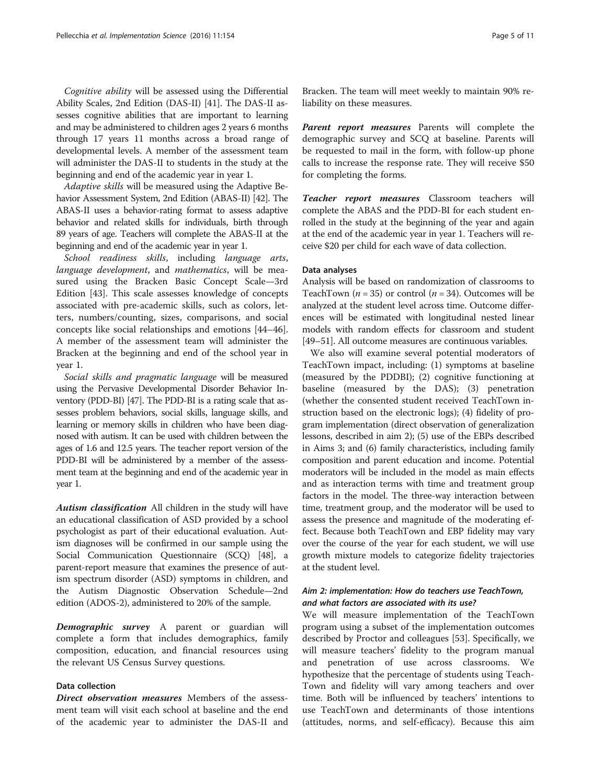Cognitive ability will be assessed using the Differential Ability Scales, 2nd Edition (DAS-II) [\[41\]](#page-11-0). The DAS-II assesses cognitive abilities that are important to learning and may be administered to children ages 2 years 6 months through 17 years 11 months across a broad range of developmental levels. A member of the assessment team will administer the DAS-II to students in the study at the beginning and end of the academic year in year 1.

Adaptive skills will be measured using the Adaptive Behavior Assessment System, 2nd Edition (ABAS-II) [\[42](#page-11-0)]. The ABAS-II uses a behavior-rating format to assess adaptive behavior and related skills for individuals, birth through 89 years of age. Teachers will complete the ABAS-II at the beginning and end of the academic year in year 1.

School readiness skills, including language arts, language development, and mathematics, will be measured using the Bracken Basic Concept Scale—3rd Edition [\[43](#page-11-0)]. This scale assesses knowledge of concepts associated with pre-academic skills, such as colors, letters, numbers/counting, sizes, comparisons, and social concepts like social relationships and emotions [[44](#page-11-0)–[46](#page-11-0)]. A member of the assessment team will administer the Bracken at the beginning and end of the school year in year 1.

Social skills and pragmatic language will be measured using the Pervasive Developmental Disorder Behavior Inventory (PDD-BI) [\[47](#page-11-0)]. The PDD-BI is a rating scale that assesses problem behaviors, social skills, language skills, and learning or memory skills in children who have been diagnosed with autism. It can be used with children between the ages of 1.6 and 12.5 years. The teacher report version of the PDD-BI will be administered by a member of the assessment team at the beginning and end of the academic year in year 1.

Autism classification All children in the study will have an educational classification of ASD provided by a school psychologist as part of their educational evaluation. Autism diagnoses will be confirmed in our sample using the Social Communication Questionnaire (SCQ) [\[48\]](#page-11-0), a parent-report measure that examines the presence of autism spectrum disorder (ASD) symptoms in children, and the Autism Diagnostic Observation Schedule—2nd edition (ADOS-2), administered to 20% of the sample.

Demographic survey A parent or guardian will complete a form that includes demographics, family composition, education, and financial resources using the relevant US Census Survey questions.

#### Data collection

Direct observation measures Members of the assessment team will visit each school at baseline and the end of the academic year to administer the DAS-II and

Bracken. The team will meet weekly to maintain 90% reliability on these measures.

Parent report measures Parents will complete the demographic survey and SCQ at baseline. Parents will be requested to mail in the form, with follow-up phone calls to increase the response rate. They will receive \$50 for completing the forms.

Teacher report measures Classroom teachers will complete the ABAS and the PDD-BI for each student enrolled in the study at the beginning of the year and again at the end of the academic year in year 1. Teachers will receive \$20 per child for each wave of data collection.

#### Data analyses

Analysis will be based on randomization of classrooms to TeachTown ( $n = 35$ ) or control ( $n = 34$ ). Outcomes will be analyzed at the student level across time. Outcome differences will be estimated with longitudinal nested linear models with random effects for classroom and student [[49](#page-11-0)–[51\]](#page-11-0). All outcome measures are continuous variables.

We also will examine several potential moderators of TeachTown impact, including: (1) symptoms at baseline (measured by the PDDBI); (2) cognitive functioning at baseline (measured by the DAS); (3) penetration (whether the consented student received TeachTown instruction based on the electronic logs); (4) fidelity of program implementation (direct observation of generalization lessons, described in aim 2); (5) use of the EBPs described in Aims 3; and (6) family characteristics, including family composition and parent education and income. Potential moderators will be included in the model as main effects and as interaction terms with time and treatment group factors in the model. The three-way interaction between time, treatment group, and the moderator will be used to assess the presence and magnitude of the moderating effect. Because both TeachTown and EBP fidelity may vary over the course of the year for each student, we will use growth mixture models to categorize fidelity trajectories at the student level.

### Aim 2: implementation: How do teachers use TeachTown, and what factors are associated with its use?

We will measure implementation of the TeachTown program using a subset of the implementation outcomes described by Proctor and colleagues [[53](#page-11-0)]. Specifically, we will measure teachers' fidelity to the program manual and penetration of use across classrooms. We hypothesize that the percentage of students using Teach-Town and fidelity will vary among teachers and over time. Both will be influenced by teachers' intentions to use TeachTown and determinants of those intentions (attitudes, norms, and self-efficacy). Because this aim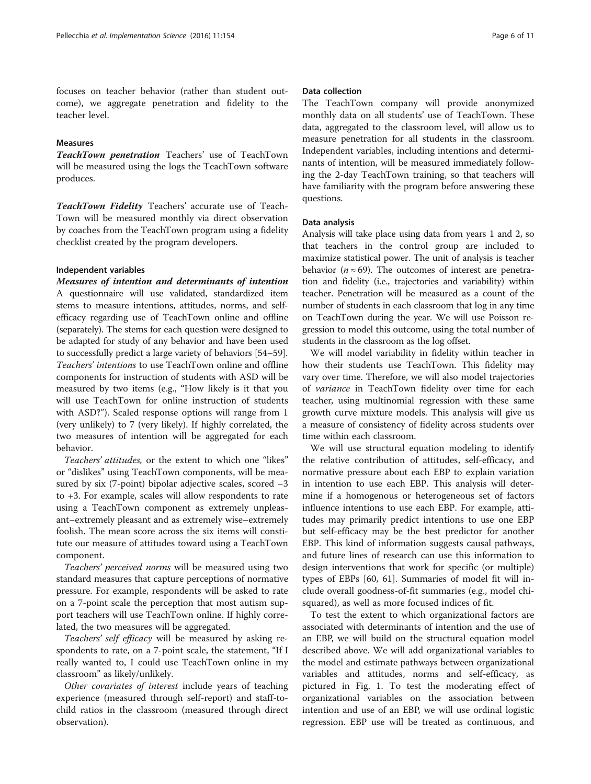focuses on teacher behavior (rather than student outcome), we aggregate penetration and fidelity to the teacher level.

#### Measures

TeachTown penetration Teachers' use of TeachTown will be measured using the logs the TeachTown software produces.

TeachTown Fidelity Teachers' accurate use of Teach-Town will be measured monthly via direct observation by coaches from the TeachTown program using a fidelity checklist created by the program developers.

#### Independent variables

Measures of intention and determinants of intention A questionnaire will use validated, standardized item stems to measure intentions, attitudes, norms, and selfefficacy regarding use of TeachTown online and offline (separately). The stems for each question were designed to be adapted for study of any behavior and have been used to successfully predict a large variety of behaviors [[54](#page-11-0)–[59\]](#page-12-0). Teachers' intentions to use TeachTown online and offline components for instruction of students with ASD will be measured by two items (e.g., "How likely is it that you will use TeachTown for online instruction of students with ASD?"). Scaled response options will range from 1 (very unlikely) to 7 (very likely). If highly correlated, the two measures of intention will be aggregated for each behavior.

Teachers' attitudes, or the extent to which one "likes" or "dislikes" using TeachTown components, will be measured by six (7-point) bipolar adjective scales, scored –3 to +3. For example, scales will allow respondents to rate using a TeachTown component as extremely unpleasant–extremely pleasant and as extremely wise–extremely foolish. The mean score across the six items will constitute our measure of attitudes toward using a TeachTown component.

Teachers' perceived norms will be measured using two standard measures that capture perceptions of normative pressure. For example, respondents will be asked to rate on a 7-point scale the perception that most autism support teachers will use TeachTown online. If highly correlated, the two measures will be aggregated.

Teachers' self efficacy will be measured by asking respondents to rate, on a 7-point scale, the statement, "If I really wanted to, I could use TeachTown online in my classroom" as likely/unlikely.

Other covariates of interest include years of teaching experience (measured through self-report) and staff-tochild ratios in the classroom (measured through direct observation).

#### Data collection

The TeachTown company will provide anonymized monthly data on all students' use of TeachTown. These data, aggregated to the classroom level, will allow us to measure penetration for all students in the classroom. Independent variables, including intentions and determinants of intention, will be measured immediately following the 2-day TeachTown training, so that teachers will have familiarity with the program before answering these questions.

#### Data analysis

Analysis will take place using data from years 1 and 2, so that teachers in the control group are included to maximize statistical power. The unit of analysis is teacher behavior ( $n \approx 69$ ). The outcomes of interest are penetration and fidelity (i.e., trajectories and variability) within teacher. Penetration will be measured as a count of the number of students in each classroom that log in any time on TeachTown during the year. We will use Poisson regression to model this outcome, using the total number of students in the classroom as the log offset.

We will model variability in fidelity within teacher in how their students use TeachTown. This fidelity may vary over time. Therefore, we will also model trajectories of variance in TeachTown fidelity over time for each teacher, using multinomial regression with these same growth curve mixture models. This analysis will give us a measure of consistency of fidelity across students over time within each classroom.

We will use structural equation modeling to identify the relative contribution of attitudes, self-efficacy, and normative pressure about each EBP to explain variation in intention to use each EBP. This analysis will determine if a homogenous or heterogeneous set of factors influence intentions to use each EBP. For example, attitudes may primarily predict intentions to use one EBP but self-efficacy may be the best predictor for another EBP. This kind of information suggests causal pathways, and future lines of research can use this information to design interventions that work for specific (or multiple) types of EBPs [[60](#page-12-0), [61](#page-12-0)]. Summaries of model fit will include overall goodness-of-fit summaries (e.g., model chisquared), as well as more focused indices of fit.

To test the extent to which organizational factors are associated with determinants of intention and the use of an EBP, we will build on the structural equation model described above. We will add organizational variables to the model and estimate pathways between organizational variables and attitudes, norms and self-efficacy, as pictured in Fig. [1](#page-3-0). To test the moderating effect of organizational variables on the association between intention and use of an EBP, we will use ordinal logistic regression. EBP use will be treated as continuous, and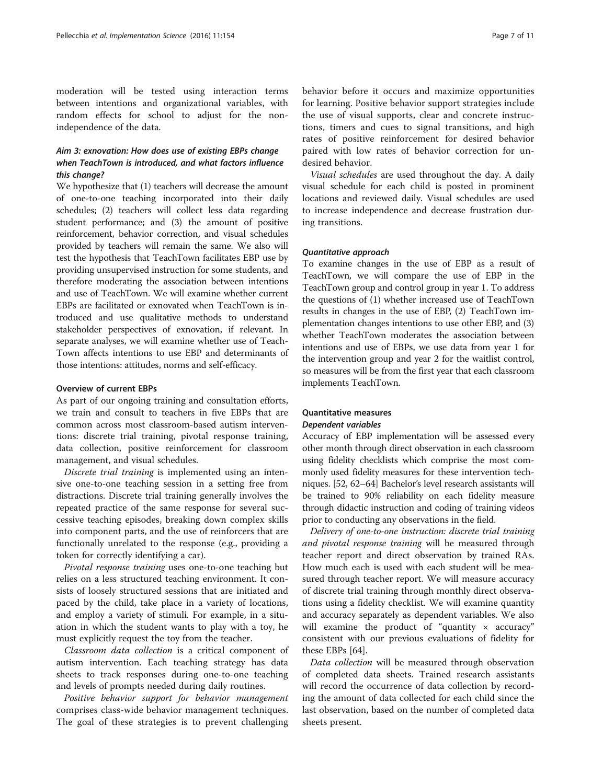moderation will be tested using interaction terms between intentions and organizational variables, with random effects for school to adjust for the nonindependence of the data.

### Aim 3: exnovation: How does use of existing EBPs change when TeachTown is introduced, and what factors influence this change?

We hypothesize that (1) teachers will decrease the amount of one-to-one teaching incorporated into their daily schedules; (2) teachers will collect less data regarding student performance; and (3) the amount of positive reinforcement, behavior correction, and visual schedules provided by teachers will remain the same. We also will test the hypothesis that TeachTown facilitates EBP use by providing unsupervised instruction for some students, and therefore moderating the association between intentions and use of TeachTown. We will examine whether current EBPs are facilitated or exnovated when TeachTown is introduced and use qualitative methods to understand stakeholder perspectives of exnovation, if relevant. In separate analyses, we will examine whether use of Teach-Town affects intentions to use EBP and determinants of those intentions: attitudes, norms and self-efficacy.

#### Overview of current EBPs

As part of our ongoing training and consultation efforts, we train and consult to teachers in five EBPs that are common across most classroom-based autism interventions: discrete trial training, pivotal response training, data collection, positive reinforcement for classroom management, and visual schedules.

Discrete trial training is implemented using an intensive one-to-one teaching session in a setting free from distractions. Discrete trial training generally involves the repeated practice of the same response for several successive teaching episodes, breaking down complex skills into component parts, and the use of reinforcers that are functionally unrelated to the response (e.g., providing a token for correctly identifying a car).

Pivotal response training uses one-to-one teaching but relies on a less structured teaching environment. It consists of loosely structured sessions that are initiated and paced by the child, take place in a variety of locations, and employ a variety of stimuli. For example, in a situation in which the student wants to play with a toy, he must explicitly request the toy from the teacher.

Classroom data collection is a critical component of autism intervention. Each teaching strategy has data sheets to track responses during one-to-one teaching and levels of prompts needed during daily routines.

Positive behavior support for behavior management comprises class-wide behavior management techniques. The goal of these strategies is to prevent challenging

behavior before it occurs and maximize opportunities for learning. Positive behavior support strategies include the use of visual supports, clear and concrete instructions, timers and cues to signal transitions, and high rates of positive reinforcement for desired behavior paired with low rates of behavior correction for undesired behavior.

Visual schedules are used throughout the day. A daily visual schedule for each child is posted in prominent locations and reviewed daily. Visual schedules are used to increase independence and decrease frustration during transitions.

#### Quantitative approach

To examine changes in the use of EBP as a result of TeachTown, we will compare the use of EBP in the TeachTown group and control group in year 1. To address the questions of (1) whether increased use of TeachTown results in changes in the use of EBP, (2) TeachTown implementation changes intentions to use other EBP, and (3) whether TeachTown moderates the association between intentions and use of EBPs, we use data from year 1 for the intervention group and year 2 for the waitlist control, so measures will be from the first year that each classroom implements TeachTown.

#### Quantitative measures Dependent variables

Accuracy of EBP implementation will be assessed every other month through direct observation in each classroom using fidelity checklists which comprise the most commonly used fidelity measures for these intervention techniques. [[52](#page-11-0), [62](#page-12-0)–[64](#page-12-0)] Bachelor's level research assistants will be trained to 90% reliability on each fidelity measure through didactic instruction and coding of training videos prior to conducting any observations in the field.

Delivery of one-to-one instruction: discrete trial training and pivotal response training will be measured through teacher report and direct observation by trained RAs. How much each is used with each student will be measured through teacher report. We will measure accuracy of discrete trial training through monthly direct observations using a fidelity checklist. We will examine quantity and accuracy separately as dependent variables. We also will examine the product of "quantity  $\times$  accuracy" consistent with our previous evaluations of fidelity for these EBPs [\[64](#page-12-0)].

Data collection will be measured through observation of completed data sheets. Trained research assistants will record the occurrence of data collection by recording the amount of data collected for each child since the last observation, based on the number of completed data sheets present.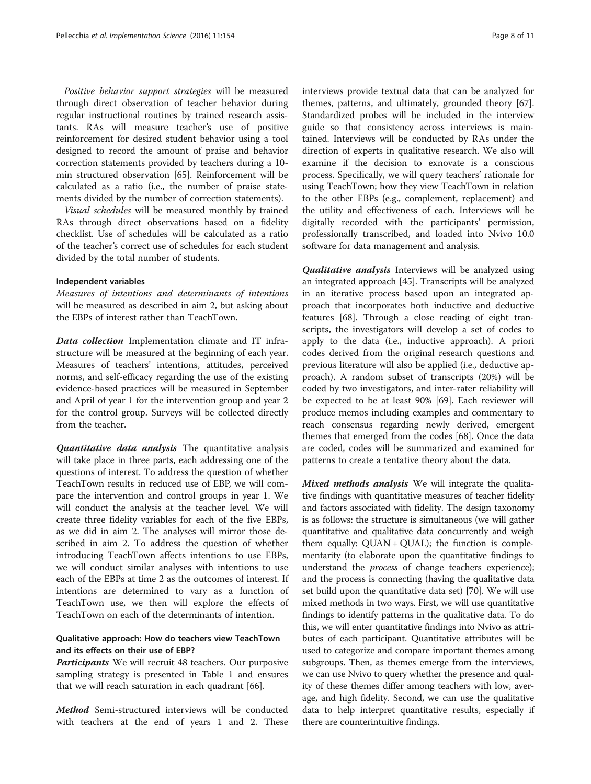Positive behavior support strategies will be measured through direct observation of teacher behavior during regular instructional routines by trained research assistants. RAs will measure teacher's use of positive reinforcement for desired student behavior using a tool designed to record the amount of praise and behavior correction statements provided by teachers during a 10 min structured observation [[65](#page-12-0)]. Reinforcement will be calculated as a ratio (i.e., the number of praise statements divided by the number of correction statements).

Visual schedules will be measured monthly by trained RAs through direct observations based on a fidelity checklist. Use of schedules will be calculated as a ratio of the teacher's correct use of schedules for each student divided by the total number of students.

#### Independent variables

Measures of intentions and determinants of intentions will be measured as described in aim 2, but asking about the EBPs of interest rather than TeachTown.

Data collection Implementation climate and IT infrastructure will be measured at the beginning of each year. Measures of teachers' intentions, attitudes, perceived norms, and self-efficacy regarding the use of the existing evidence-based practices will be measured in September and April of year 1 for the intervention group and year 2 for the control group. Surveys will be collected directly from the teacher.

Quantitative data analysis The quantitative analysis will take place in three parts, each addressing one of the questions of interest. To address the question of whether TeachTown results in reduced use of EBP, we will compare the intervention and control groups in year 1. We will conduct the analysis at the teacher level. We will create three fidelity variables for each of the five EBPs, as we did in aim 2. The analyses will mirror those described in aim 2. To address the question of whether introducing TeachTown affects intentions to use EBPs, we will conduct similar analyses with intentions to use each of the EBPs at time 2 as the outcomes of interest. If intentions are determined to vary as a function of TeachTown use, we then will explore the effects of TeachTown on each of the determinants of intention.

#### Qualitative approach: How do teachers view TeachTown and its effects on their use of EBP?

**Participants** We will recruit 48 teachers. Our purposive sampling strategy is presented in Table [1](#page-5-0) and ensures that we will reach saturation in each quadrant [[66\]](#page-12-0).

Method Semi-structured interviews will be conducted with teachers at the end of years 1 and 2. These interviews provide textual data that can be analyzed for themes, patterns, and ultimately, grounded theory [\[67](#page-12-0)]. Standardized probes will be included in the interview guide so that consistency across interviews is maintained. Interviews will be conducted by RAs under the direction of experts in qualitative research. We also will examine if the decision to exnovate is a conscious process. Specifically, we will query teachers' rationale for using TeachTown; how they view TeachTown in relation to the other EBPs (e.g., complement, replacement) and the utility and effectiveness of each. Interviews will be digitally recorded with the participants' permission, professionally transcribed, and loaded into Nvivo 10.0 software for data management and analysis.

Qualitative analysis Interviews will be analyzed using an integrated approach [[45](#page-11-0)]. Transcripts will be analyzed in an iterative process based upon an integrated approach that incorporates both inductive and deductive features [\[68](#page-12-0)]. Through a close reading of eight transcripts, the investigators will develop a set of codes to apply to the data (i.e., inductive approach). A priori codes derived from the original research questions and previous literature will also be applied (i.e., deductive approach). A random subset of transcripts (20%) will be coded by two investigators, and inter-rater reliability will be expected to be at least 90% [\[69](#page-12-0)]. Each reviewer will produce memos including examples and commentary to reach consensus regarding newly derived, emergent themes that emerged from the codes [\[68](#page-12-0)]. Once the data are coded, codes will be summarized and examined for patterns to create a tentative theory about the data.

Mixed methods analysis We will integrate the qualitative findings with quantitative measures of teacher fidelity and factors associated with fidelity. The design taxonomy is as follows: the structure is simultaneous (we will gather quantitative and qualitative data concurrently and weigh them equally:  $QUAN + QUAL$ ; the function is complementarity (to elaborate upon the quantitative findings to understand the *process* of change teachers experience); and the process is connecting (having the qualitative data set build upon the quantitative data set) [[70](#page-12-0)]. We will use mixed methods in two ways. First, we will use quantitative findings to identify patterns in the qualitative data. To do this, we will enter quantitative findings into Nvivo as attributes of each participant. Quantitative attributes will be used to categorize and compare important themes among subgroups. Then, as themes emerge from the interviews, we can use Nvivo to query whether the presence and quality of these themes differ among teachers with low, average, and high fidelity. Second, we can use the qualitative data to help interpret quantitative results, especially if there are counterintuitive findings.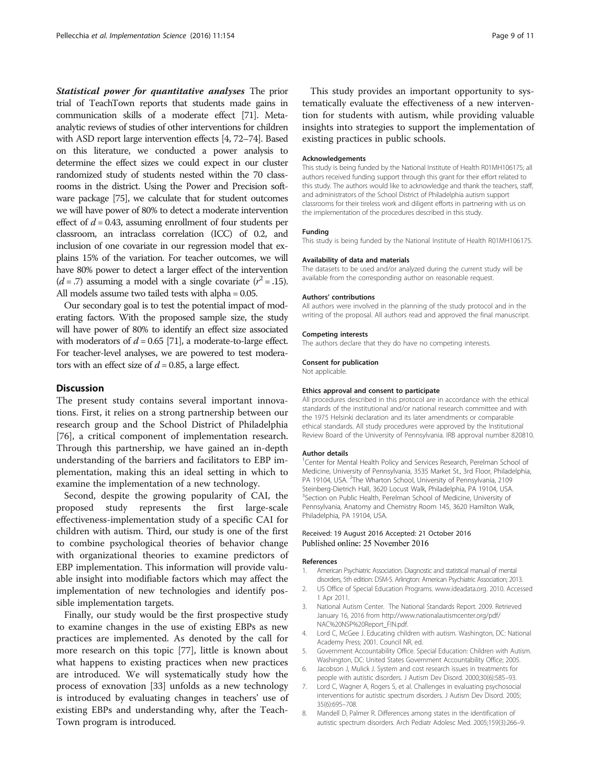<span id="page-10-0"></span>Statistical power for quantitative analyses The prior trial of TeachTown reports that students made gains in communication skills of a moderate effect [\[71\]](#page-12-0). Metaanalytic reviews of studies of other interventions for children with ASD report large intervention effects [4, [72](#page-12-0)–[74\]](#page-12-0). Based on this literature, we conducted a power analysis to determine the effect sizes we could expect in our cluster randomized study of students nested within the 70 classrooms in the district. Using the Power and Precision software package [\[75\]](#page-12-0), we calculate that for student outcomes we will have power of 80% to detect a moderate intervention effect of  $d = 0.43$ , assuming enrollment of four students per classroom, an intraclass correlation (ICC) of 0.2, and inclusion of one covariate in our regression model that explains 15% of the variation. For teacher outcomes, we will have 80% power to detect a larger effect of the intervention (*d* = .7) assuming a model with a single covariate ( $r^2$  = .15). All models assume two tailed tests with alpha = 0.05.

Our secondary goal is to test the potential impact of moderating factors. With the proposed sample size, the study will have power of 80% to identify an effect size associated with moderators of  $d = 0.65$  [\[71](#page-12-0)], a moderate-to-large effect. For teacher-level analyses, we are powered to test moderators with an effect size of  $d = 0.85$ , a large effect.

#### **Discussion**

The present study contains several important innovations. First, it relies on a strong partnership between our research group and the School District of Philadelphia [[76\]](#page-12-0), a critical component of implementation research. Through this partnership, we have gained an in-depth understanding of the barriers and facilitators to EBP implementation, making this an ideal setting in which to examine the implementation of a new technology.

Second, despite the growing popularity of CAI, the proposed study represents the first large-scale effectiveness-implementation study of a specific CAI for children with autism. Third, our study is one of the first to combine psychological theories of behavior change with organizational theories to examine predictors of EBP implementation. This information will provide valuable insight into modifiable factors which may affect the implementation of new technologies and identify possible implementation targets.

Finally, our study would be the first prospective study to examine changes in the use of existing EBPs as new practices are implemented. As denoted by the call for more research on this topic [[77](#page-12-0)], little is known about what happens to existing practices when new practices are introduced. We will systematically study how the process of exnovation [\[33](#page-11-0)] unfolds as a new technology is introduced by evaluating changes in teachers' use of existing EBPs and understanding why, after the Teach-Town program is introduced.

This study provides an important opportunity to systematically evaluate the effectiveness of a new intervention for students with autism, while providing valuable insights into strategies to support the implementation of existing practices in public schools.

#### Acknowledgements

This study is being funded by the National Institute of Health R01MH106175; all authors received funding support through this grant for their effort related to this study. The authors would like to acknowledge and thank the teachers, staff, and administrators of the School District of Philadelphia autism support classrooms for their tireless work and diligent efforts in partnering with us on the implementation of the procedures described in this study.

#### Funding

This study is being funded by the National Institute of Health R01MH106175.

#### Availability of data and materials

The datasets to be used and/or analyzed during the current study will be available from the corresponding author on reasonable request.

#### Authors' contributions

All authors were involved in the planning of the study protocol and in the writing of the proposal. All authors read and approved the final manuscript.

#### Competing interests

The authors declare that they do have no competing interests.

#### Consent for publication

Not applicable.

#### Ethics approval and consent to participate

All procedures described in this protocol are in accordance with the ethical standards of the institutional and/or national research committee and with the 1975 Helsinki declaration and its later amendments or comparable ethical standards. All study procedures were approved by the Institutional Review Board of the University of Pennsylvania. IRB approval number 820810.

#### Author details

<sup>1</sup> Center for Mental Health Policy and Services Research, Perelman School of Medicine, University of Pennsylvania, 3535 Market St., 3rd Floor, Philadelphia, PA 19104, USA. <sup>2</sup>The Wharton School, University of Pennsylvania, 2109 Steinberg-Dietrich Hall, 3620 Locust Walk, Philadelphia, PA 19104, USA. <sup>3</sup>Section on Public Health, Perelman School of Medicine, University of Pennsylvania, Anatomy and Chemistry Room 145, 3620 Hamilton Walk, Philadelphia, PA 19104, USA.

#### Received: 19 August 2016 Accepted: 21 October 2016 Published online: 25 November 2016

#### References

- 1. American Psychiatric Association. Diagnostic and statistical manual of mental disorders, 5th edition: DSM-5. Arlington: American Psychiatric Association; 2013.
- 2. US Office of Special Education Programs. [www.ideadata.org](http://www.ideadata.org/). 2010. Accessed 1 Apr 2011.
- 3. National Autism Center. The National Standards Report. 2009. Retrieved January 16, 2016 from [http://www.nationalautismcenter.org/pdf/](http://www.nationalautismcenter.org/pdf/NAC%20NSP%20Report_FIN.pdf) [NAC%20NSP%20Report\\_FIN.pdf](http://www.nationalautismcenter.org/pdf/NAC%20NSP%20Report_FIN.pdf).
- 4. Lord C, McGee J. Educating children with autism. Washington, DC: National Academy Press; 2001. Council NR, ed.
- 5. Government Accountability Office. Special Education: Children with Autism. Washington, DC: United States Government Accountability Office; 2005.
- 6. Jacobson J, Mulick J. System and cost research issues in treatments for people with autistic disorders. J Autism Dev Disord. 2000;30(6):585–93.
- 7. Lord C, Wagner A, Rogers S, et al. Challenges in evaluating psychosocial interventions for autistic spectrum disorders. J Autism Dev Disord. 2005; 35(6):695–708.
- 8. Mandell D, Palmer R. Differences among states in the identification of autistic spectrum disorders. Arch Pediatr Adolesc Med. 2005;159(3):266–9.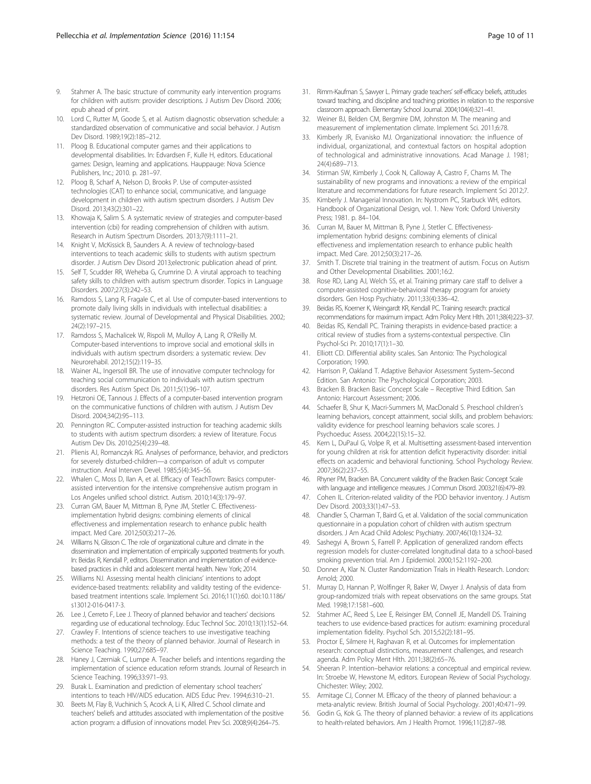- <span id="page-11-0"></span>9. Stahmer A. The basic structure of community early intervention programs for children with autism: provider descriptions. J Autism Dev Disord. 2006; epub ahead of print.
- 10. Lord C, Rutter M, Goode S, et al. Autism diagnostic observation schedule: a standardized observation of communicative and social behavior. J Autism Dev Disord. 1989;19(2):185–212.
- 11. Ploog B. Educational computer games and their applications to developmental disabilities. In: Edvardsen F, Kulle H, editors. Educational games: Design, learning and applications. Hauppauge: Nova Science Publishers, Inc.; 2010. p. 281–97.
- 12. Ploog B, Scharf A, Nelson D, Brooks P. Use of computer-assisted technologies (CAT) to enhance social, communicative, and language development in children with autism spectrum disorders. J Autism Dev Disord. 2013;43(2):301–22.
- 13. Khowaja K, Salim S. A systematic review of strategies and computer-based intervention (cbi) for reading comprehension of children with autism. Research in Autism Spectrum Disorders. 2013;7(9):1111–21.
- 14. Knight V, McKissick B, Saunders A. A review of technology-based interventions to teach academic skills to students with autism spectrum disorder. J Autism Dev Disord 2013;electronic publication ahead of print.
- 15. Self T, Scudder RR, Weheba G, Crumrine D. A virutal approach to teaching safety skills to children with autism spectrum disorder. Topics in Language Disorders. 2007;27(3):242–53.
- 16. Ramdoss S, Lang R, Fragale C, et al. Use of computer-based interventions to promote daily living skills in individuals with intellectual disabilities: a systematic review. Journal of Developmental and Physical Disabilities. 2002; 24(2):197–215.
- 17. Ramdoss S, Machalicek W, Rispoli M, Mulloy A, Lang R, O'Reilly M. Computer-based interventions to improve social and emotional skills in individuals with autism spectrum disorders: a systematic review. Dev Neurorehabil. 2012;15(2):119–35.
- 18. Wainer AL, Ingersoll BR. The use of innovative computer technology for teaching social communication to individuals with autism spectrum disorders. Res Autism Spect Dis. 2011;5(1):96–107.
- 19. Hetzroni OE, Tannous J. Effects of a computer-based intervention program on the communicative functions of children with autism. J Autism Dev Disord. 2004;34(2):95–113.
- 20. Pennington RC. Computer-assisted instruction for teaching academic skills to students with autism spectrum disorders: a review of literature. Focus Autism Dev Dis. 2010;25(4):239–48.
- 21. Plienis AJ, Romanczyk RG. Analyses of performance, behavior, and predictors for severely disturbed-children—a comparison of adult vs computer instruction. Anal Interven Devel. 1985;5(4):345–56.
- 22. Whalen C, Moss D, Ilan A, et al. Efficacy of TeachTown: Basics computerassisted intervention for the intensive comprehensive autism program in Los Angeles unified school district. Autism. 2010;14(3):179–97.
- 23. Curran GM, Bauer M, Mittman B, Pyne JM, Stetler C. Effectivenessimplementation hybrid designs: combining elements of clinical effectiveness and implementation research to enhance public health impact. Med Care. 2012;50(3):217–26.
- 24. Williams N, Glisson C. The role of organizational culture and climate in the dissemination and implementation of empirically supported treatments for youth. In: Beidas R, Kendall P, editors. Dissemination and implementation of evidencebased practices in child and adolescent mental health. New York; 2014.
- 25. Williams NJ. Assessing mental health clinicians' intentions to adopt evidence-based treatments: reliability and validity testing of the evidencebased treatment intentions scale. Implement Sci. 2016;11(1):60. doi:[10.1186/](http://dx.doi.org/10.1186/s13012-016-0417-3) [s13012-016-0417-3.](http://dx.doi.org/10.1186/s13012-016-0417-3)
- 26. Lee J, Cerreto F, Lee J. Theory of planned behavior and teachers' decisions regarding use of educational technology. Educ Technol Soc. 2010;13(1):152–64.
- 27. Crawley F. Intentions of science teachers to use investigative teaching methods: a test of the theory of planned behavior. Journal of Research in Science Teaching. 1990;27:685–97.
- 28. Haney J, Czerniak C, Lumpe A. Teacher beliefs and intentions regarding the implementation of science education reform strands. Journal of Research in Science Teaching. 1996;33:971–93.
- 29. Burak L. Examination and prediction of elementary school teachers' intentions to teach HIV/AIDS education. AIDS Educ Prev. 1994;6:310–21.
- 30. Beets M, Flay B, Vuchinich S, Acock A, Li K, Allred C. School climate and teachers' beliefs and attitudes associated with implementation of the positive action program: a diffusion of innovations model. Prev Sci. 2008;9(4):264–75.
- 31. Rimm-Kaufman S, Sawyer L. Primary grade teachers' self-efficacy beliefs, attitudes toward teaching, and discipline and teaching priorities in relation to the responsive classroom approach. Elementary School Journal. 2004;104(4):321–41.
- 32. Weiner BJ, Belden CM, Bergmire DM, Johnston M. The meaning and measurement of implementation climate. Implement Sci. 2011;6:78.
- 33. Kimberly JR, Evanisko MJ. Organizational innovation: the influence of individual, organizational, and contextual factors on hospital adoption of technological and administrative innovations. Acad Manage J. 1981; 24(4):689–713.
- 34. Stirman SW, Kimberly J, Cook N, Calloway A, Castro F, Charns M. The sustainability of new programs and innovations: a review of the empirical literature and recommendations for future research. Implement Sci 2012;7.
- 35. Kimberly J. Managerial Innovation. In: Nystrom PC, Starbuck WH, editors. Handbook of Organizational Design, vol. 1. New York: Oxford University Press; 1981. p. 84–104.
- 36. Curran M, Bauer M, Mittman B, Pyne J, Stetler C. Effectivenessimplementation hybrid designs: combining elements of clinical effectiveness and implementation research to enhance public health impact. Med Care. 2012;50(3):217–26.
- 37. Smith T. Discrete trial training in the treatment of autism. Focus on Autism and Other Developmental Disabilities. 2001;16:2.
- 38. Rose RD, Lang AJ, Welch SS, et al. Training primary care staff to deliver a computer-assisted cognitive-behavioral therapy program for anxiety disorders. Gen Hosp Psychiatry. 2011;33(4):336–42.
- 39. Beidas RS, Koerner K, Weingardt KR, Kendall PC. Training research: practical recommendations for maximum impact. Adm Policy Ment Hlth. 2011;38(4):223–37.
- 40. Beidas RS, Kendall PC. Training therapists in evidence-based practice: a critical review of studies from a systems-contextual perspective. Clin Psychol-Sci Pr. 2010;17(1):1–30.
- 41. Elliott CD. Differential ability scales. San Antonio: The Psychological Corporation; 1990.
- 42. Harrison P, Oakland T. Adaptive Behavior Assessment System–Second Edition. San Antonio: The Psychological Corporation; 2003.
- 43. Bracken B. Bracken Basic Concept Scale Receptive Third Edition. San Antonio: Harcourt Assessment; 2006.
- 44. Schaefer B, Shur K, Macri-Summers M, MacDonald S. Preschool children's learning behaviors, concept attainment, social skills, and problem behaviors: validity evidence for preschool learning behaviors scale scores. J Psychoeduc Assess. 2004;22(15):15–32.
- 45. Kern L, DuPaul G, Volpe R, et al. Multisetting assessment-based intervention for young children at risk for attention deficit hyperactivity disorder: initial effects on academic and behavioral functioning. School Psychology Review. 2007;36(2):237–55.
- 46. Rhyner PM, Bracken BA. Concurrent validity of the Bracken Basic Concept Scale with language and intelligence measures. J Commun Disord. 2003;21(6):479–89.
- 47. Cohen IL. Criterion-related validity of the PDD behavior inventory. J Autism Dev Disord. 2003;33(1):47–53.
- 48. Chandler S, Charman T, Baird G, et al. Validation of the social communication questionnaire in a population cohort of children with autism spectrum disorders. J Am Acad Child Adolesc Psychiatry. 2007;46(10):1324–32.
- 49. Sashegyi A, Brown S, Farrell P. Application of generalized random effects regression models for cluster-correlated longitudinal data to a school-based smoking prevention trial. Am J Epidemiol. 2000;152:1192–200.
- 50. Donner A, Klar N. Cluster Randomization Trials in Health Research. London: Arnold; 2000.
- 51. Murray D, Hannan P, Wolfinger R, Baker W, Dwyer J. Analysis of data from group-randomized trials with repeat observations on the same groups. Stat Med. 1998;17:1581–600.
- 52. Stahmer AC, Reed S, Lee E, Reisinger EM, Connell JE, Mandell DS. Training teachers to use evidence-based practices for autism: examining procedural implementation fidelity. Psychol Sch. 2015;52(2):181–95.
- 53. Proctor E, Silmere H, Raghavan R, et al. Outcomes for implementation research: conceptual distinctions, measurement challenges, and research agenda. Adm Policy Ment Hlth. 2011;38(2):65–76.
- Sheeran P. Intention–behavior relations: a conceptual and empirical review. In: Stroebe W, Hewstone M, editors. European Review of Social Psychology. Chichester: Wiley; 2002.
- 55. Armitage CJ, Conner M. Efficacy of the theory of planned behaviour: a meta-analytic review. British Journal of Social Psychology. 2001;40:471–99.
- 56. Godin G, Kok G. The theory of planned behavior: a review of its applications to health-related behaviors. Am J Health Promot. 1996;11(2):87–98.